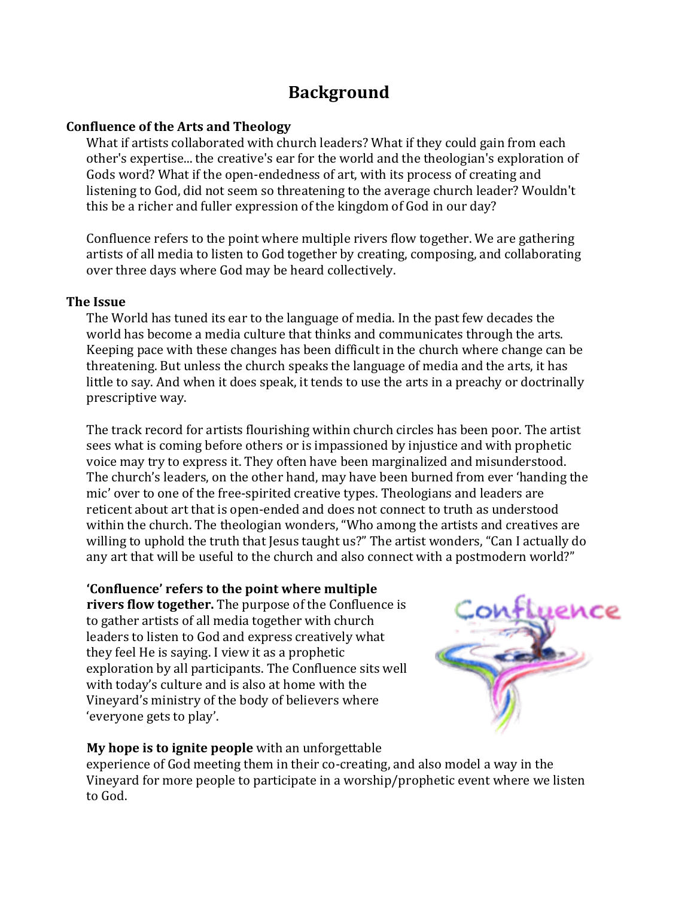# **Background**

### **Confluence of the Arts and Theology**

What if artists collaborated with church leaders? What if they could gain from each other's expertise... the creative's ear for the world and the theologian's exploration of Gods word? What if the open-endedness of art, with its process of creating and listening to God, did not seem so threatening to the average church leader? Wouldn't this be a richer and fuller expression of the kingdom of God in our day?

Confluence refers to the point where multiple rivers flow together. We are gathering artists of all media to listen to God together by creating, composing, and collaborating over three days where God may be heard collectively.

### **The Issue**

The World has tuned its ear to the language of media. In the past few decades the world has become a media culture that thinks and communicates through the arts. Keeping pace with these changes has been difficult in the church where change can be threatening. But unless the church speaks the language of media and the arts, it has little to say. And when it does speak, it tends to use the arts in a preachy or doctrinally prescriptive way.

The track record for artists flourishing within church circles has been poor. The artist sees what is coming before others or is impassioned by injustice and with prophetic voice may try to express it. They often have been marginalized and misunderstood. The church's leaders, on the other hand, may have been burned from ever 'handing the mic' over to one of the free-spirited creative types. Theologians and leaders are reticent about art that is open-ended and does not connect to truth as understood within the church. The theologian wonders, "Who among the artists and creatives are willing to uphold the truth that Jesus taught us?" The artist wonders, "Can I actually do any art that will be useful to the church and also connect with a postmodern world?"

### **'Confluence' refers to the point where multiple**

**rivers flow together.** The purpose of the Confluence is to gather artists of all media together with church leaders to listen to God and express creatively what they feel He is saying. I view it as a prophetic exploration by all participants. The Confluence sits well with today's culture and is also at home with the Vineyard's ministry of the body of believers where 'everyone gets to play'.



## **My hope is to ignite people** with an unforgettable

experience of God meeting them in their co-creating, and also model a way in the Vineyard for more people to participate in a worship/prophetic event where we listen to God.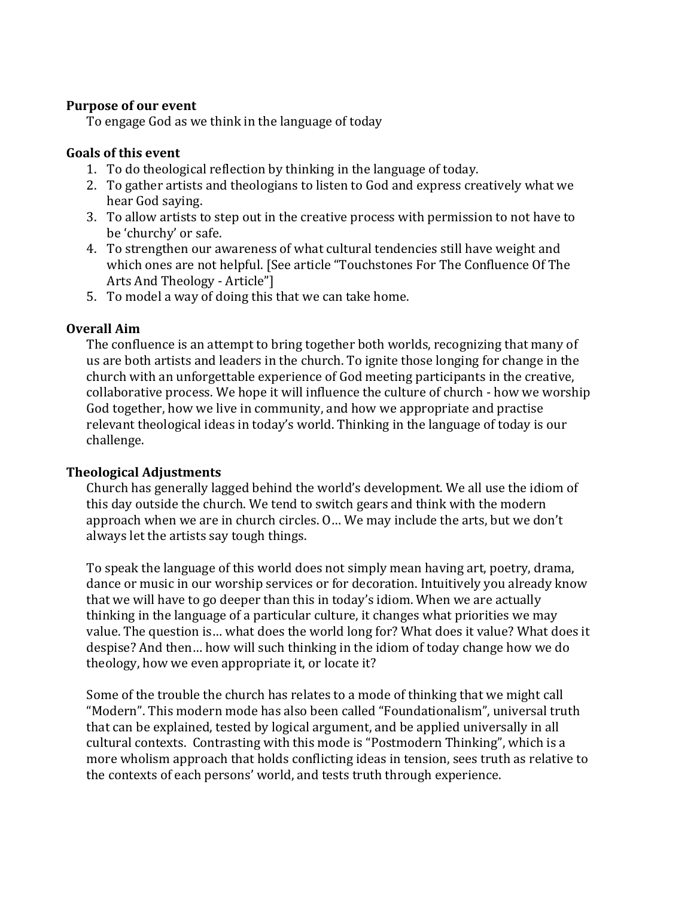### **Purpose of our event**

To engage God as we think in the language of today

### **Goals** of this event

- 1. To do theological reflection by thinking in the language of today.
- 2. To gather artists and theologians to listen to God and express creatively what we hear God saying.
- 3. To allow artists to step out in the creative process with permission to not have to be 'churchy' or safe.
- 4. To strengthen our awareness of what cultural tendencies still have weight and which ones are not helpful. [See article "Touchstones For The Confluence Of The Arts And Theology - Article"]
- 5. To model a way of doing this that we can take home.

### **Overall Aim**

The confluence is an attempt to bring together both worlds, recognizing that many of us are both artists and leaders in the church. To ignite those longing for change in the church with an unforgettable experience of God meeting participants in the creative, collaborative process. We hope it will influence the culture of church - how we worship God together, how we live in community, and how we appropriate and practise relevant theological ideas in today's world. Thinking in the language of today is our challenge.

### **Theological Adjustments**

Church has generally lagged behind the world's development. We all use the idiom of this day outside the church. We tend to switch gears and think with the modern approach when we are in church circles. O... We may include the arts, but we don't always let the artists say tough things.

To speak the language of this world does not simply mean having art, poetry, drama, dance or music in our worship services or for decoration. Intuitively you already know that we will have to go deeper than this in today's idiom. When we are actually thinking in the language of a particular culture, it changes what priorities we may value. The question is... what does the world long for? What does it value? What does it despise? And then... how will such thinking in the idiom of today change how we do theology, how we even appropriate it, or locate it?

Some of the trouble the church has relates to a mode of thinking that we might call "Modern". This modern mode has also been called "Foundationalism", universal truth that can be explained, tested by logical argument, and be applied universally in all cultural contexts. Contrasting with this mode is "Postmodern Thinking", which is a more wholism approach that holds conflicting ideas in tension, sees truth as relative to the contexts of each persons' world, and tests truth through experience.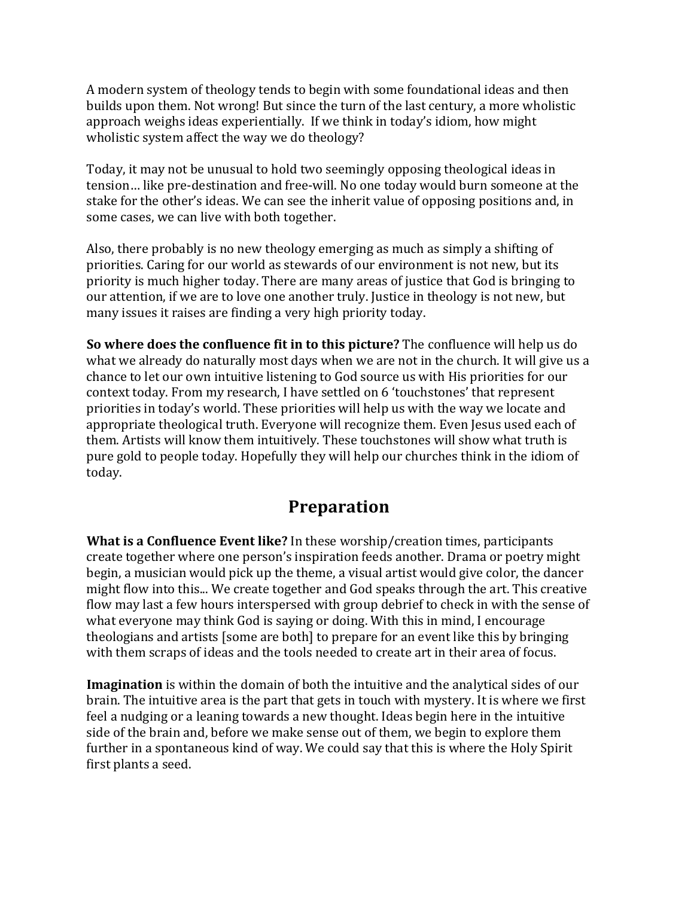A modern system of theology tends to begin with some foundational ideas and then builds upon them. Not wrong! But since the turn of the last century, a more wholistic approach weighs ideas experientially. If we think in today's idiom, how might wholistic system affect the way we do theology?

Today, it may not be unusual to hold two seemingly opposing theological ideas in tension... like pre-destination and free-will. No one today would burn someone at the stake for the other's ideas. We can see the inherit value of opposing positions and, in some cases, we can live with both together.

Also, there probably is no new theology emerging as much as simply a shifting of priorities. Caring for our world as stewards of our environment is not new, but its priority is much higher today. There are many areas of justice that God is bringing to our attention, if we are to love one another truly. Justice in theology is not new, but many issues it raises are finding a very high priority today.

**So where does the confluence fit in to this picture?** The confluence will help us do what we already do naturally most days when we are not in the church. It will give us a chance to let our own intuitive listening to God source us with His priorities for our context today. From my research, I have settled on 6 'touchstones' that represent priorities in today's world. These priorities will help us with the way we locate and appropriate theological truth. Everyone will recognize them. Even Jesus used each of them. Artists will know them intuitively. These touchstones will show what truth is pure gold to people today. Hopefully they will help our churches think in the idiom of today. 

## **Preparation**

**What is a Confluence Event like?** In these worship/creation times, participants create together where one person's inspiration feeds another. Drama or poetry might begin, a musician would pick up the theme, a visual artist would give color, the dancer might flow into this... We create together and God speaks through the art. This creative flow may last a few hours interspersed with group debrief to check in with the sense of what everyone may think God is saying or doing. With this in mind, I encourage theologians and artists [some are both] to prepare for an event like this by bringing with them scraps of ideas and the tools needed to create art in their area of focus.

**Imagination** is within the domain of both the intuitive and the analytical sides of our brain. The intuitive area is the part that gets in touch with mystery. It is where we first feel a nudging or a leaning towards a new thought. Ideas begin here in the intuitive side of the brain and, before we make sense out of them, we begin to explore them further in a spontaneous kind of way. We could say that this is where the Holy Spirit first plants a seed.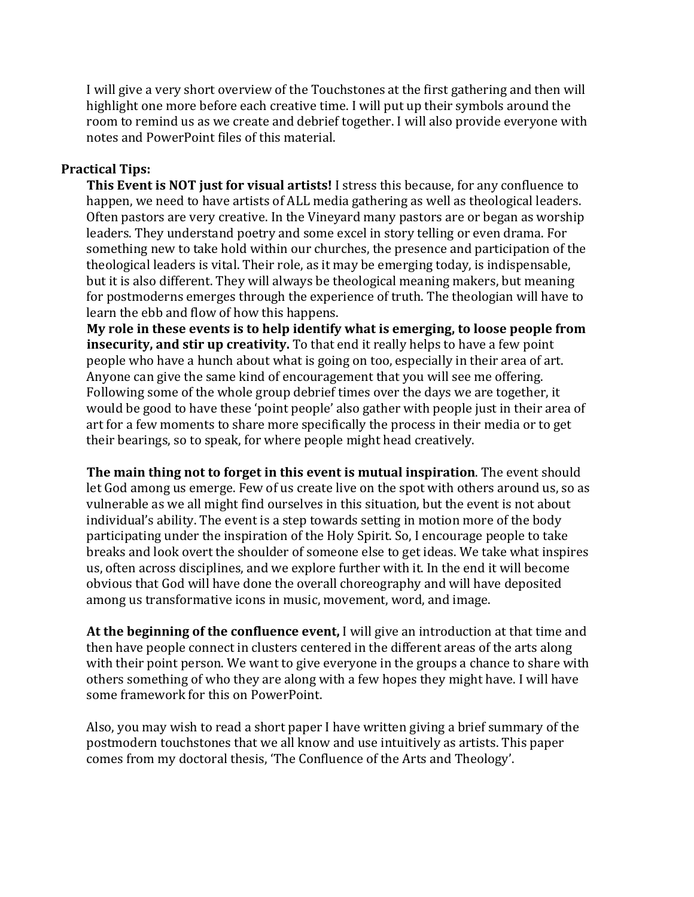I will give a very short overview of the Touchstones at the first gathering and then will highlight one more before each creative time. I will put up their symbols around the room to remind us as we create and debrief together. I will also provide everyone with notes and PowerPoint files of this material.

### **Practical Tips:**

**This Event is NOT just for visual artists!** I stress this because, for any confluence to happen, we need to have artists of ALL media gathering as well as theological leaders. Often pastors are very creative. In the Vineyard many pastors are or began as worship leaders. They understand poetry and some excel in story telling or even drama. For something new to take hold within our churches, the presence and participation of the theological leaders is vital. Their role, as it may be emerging today, is indispensable, but it is also different. They will always be theological meaning makers, but meaning for postmoderns emerges through the experience of truth. The theologian will have to learn the ebb and flow of how this happens.

My role in these events is to help identify what is emerging, to loose people from **insecurity, and stir up creativity.** To that end it really helps to have a few point people who have a hunch about what is going on too, especially in their area of art. Anyone can give the same kind of encouragement that you will see me offering. Following some of the whole group debrief times over the days we are together, it would be good to have these 'point people' also gather with people just in their area of art for a few moments to share more specifically the process in their media or to get their bearings, so to speak, for where people might head creatively.

**The main thing not to forget in this event is mutual inspiration**. The event should let God among us emerge. Few of us create live on the spot with others around us, so as vulnerable as we all might find ourselves in this situation, but the event is not about individual's ability. The event is a step towards setting in motion more of the body participating under the inspiration of the Holy Spirit. So, I encourage people to take breaks and look overt the shoulder of someone else to get ideas. We take what inspires us, often across disciplines, and we explore further with it. In the end it will become obvious that God will have done the overall choreography and will have deposited among us transformative icons in music, movement, word, and image.

**At the beginning of the confluence event,** I will give an introduction at that time and then have people connect in clusters centered in the different areas of the arts along with their point person. We want to give everyone in the groups a chance to share with others something of who they are along with a few hopes they might have. I will have some framework for this on PowerPoint.

Also, you may wish to read a short paper I have written giving a brief summary of the postmodern touchstones that we all know and use intuitively as artists. This paper comes from my doctoral thesis, 'The Confluence of the Arts and Theology'.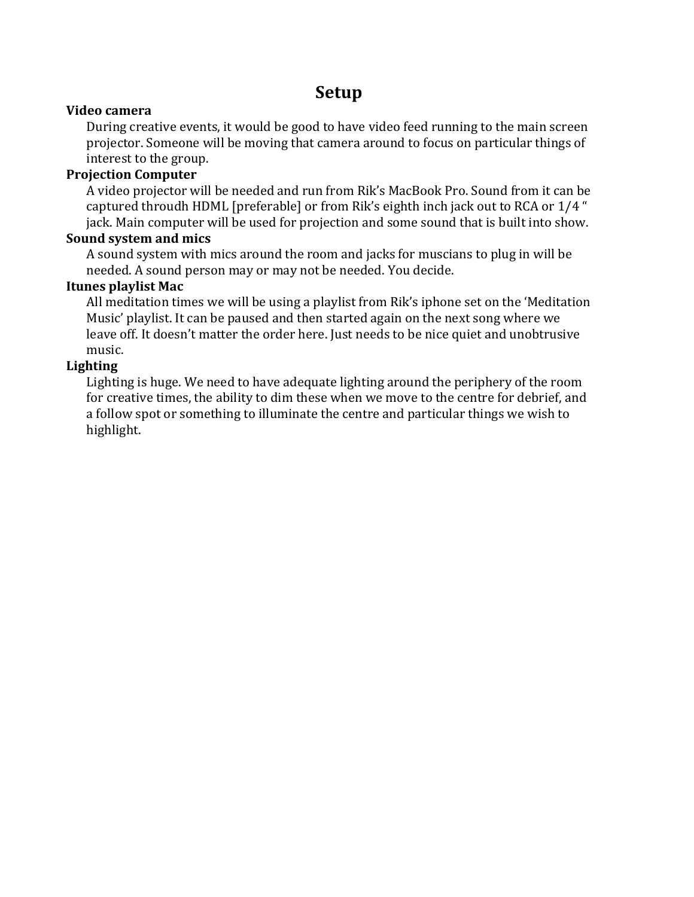## **Setup**

### **Video camera**

During creative events, it would be good to have video feed running to the main screen projector. Someone will be moving that camera around to focus on particular things of interest to the group.

### **Projection Computer**

A video projector will be needed and run from Rik's MacBook Pro. Sound from it can be captured throudh HDML [preferable] or from Rik's eighth inch jack out to RCA or 1/4 " jack. Main computer will be used for projection and some sound that is built into show.

### **Sound system and mics**

A sound system with mics around the room and jacks for muscians to plug in will be needed. A sound person may or may not be needed. You decide.

### **Itunes playlist Mac**

All meditation times we will be using a playlist from Rik's iphone set on the 'Meditation Music' playlist. It can be paused and then started again on the next song where we leave off. It doesn't matter the order here. Just needs to be nice quiet and unobtrusive music.

### **Lighting**

Lighting is huge. We need to have adequate lighting around the periphery of the room for creative times, the ability to dim these when we move to the centre for debrief, and a follow spot or something to illuminate the centre and particular things we wish to highlight.